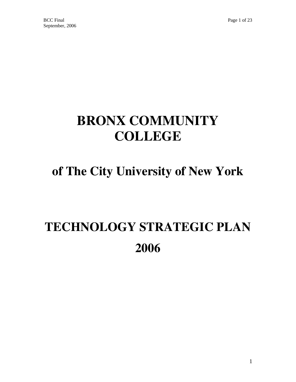# **BRONX COMMUNITY COLLEGE**

## **of The City University of New York**

# **TECHNOLOGY STRATEGIC PLAN 2006**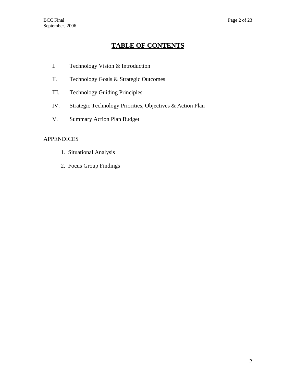## **TABLE OF CONTENTS**

- I. Technology Vision & Introduction
- II. Technology Goals & Strategic Outcomes
- III. Technology Guiding Principles
- IV. Strategic Technology Priorities, Objectives & Action Plan
- V. Summary Action Plan Budget

## APPENDICES

- 1. Situational Analysis
- 2. Focus Group Findings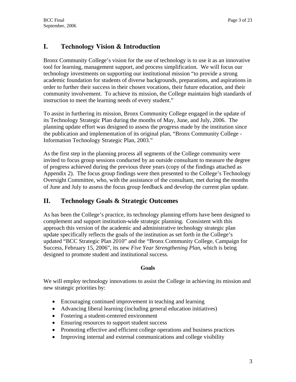## **I. Technology Vision & Introduction**

Bronx Community College's vision for the use of technology is to use it as an innovative tool for learning, management support, and process simplification. We will focus our technology investments on supporting our institutional mission "to provide a strong academic foundation for students of diverse backgrounds, preparations, and aspirations in order to further their success in their chosen vocations, their future education, and their community involvement. To achieve its mission, the College maintains high standards of instruction to meet the learning needs of every student."

To assist in furthering its mission, Bronx Community College engaged in the update of its Technology Strategic Plan during the months of May, June, and July, 2006. The planning update effort was designed to assess the progress made by the institution since the publication and implementation of its original plan, "Bronx Community College - Information Technology Strategic Plan, 2003."

As the first step in the planning process all segments of the College community were invited to focus group sessions conducted by an outside consultant to measure the degree of progress achieved during the previous three years (copy of the findings attached as Appendix 2). The focus group findings were then presented to the College's Technology Oversight Committee, who, with the assistance of the consultant, met during the months of June and July to assess the focus group feedback and develop the current plan update.

## **II. Technology Goals & Strategic Outcomes**

As has been the College's practice, its technology planning efforts have been designed to complement and support institution-wide strategic planning. Consistent with this approach this version of the academic and administrative technology strategic plan update specifically reflects the goals of the institution as set forth in the College's updated "BCC Strategic Plan 2010" and the "Bronx Community College, Campaign for Success, February 15, 2006", its new *Five Year Strengthening Plan*, which is being designed to promote student and institutional success.

### **Goals**

We will employ technology innovations to assist the College in achieving its mission and new strategic priorities by:

- Encouraging continued improvement in teaching and learning
- Advancing liberal learning (including general education initiatives)
- Fostering a student-centered environment
- Ensuring resources to support student success
- Promoting effective and efficient college operations and business practices
- Improving internal and external communications and college visibility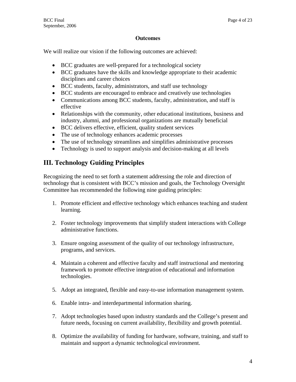## **Outcomes**

We will realize our vision if the following outcomes are achieved:

- BCC graduates are well-prepared for a technological society
- BCC graduates have the skills and knowledge appropriate to their academic disciplines and career choices
- BCC students, faculty, administrators, and staff use technology
- BCC students are encouraged to embrace and creatively use technologies
- Communications among BCC students, faculty, administration, and staff is effective
- Relationships with the community, other educational institutions, business and industry, alumni, and professional organizations are mutually beneficial
- BCC delivers effective, efficient, quality student services
- The use of technology enhances academic processes
- The use of technology streamlines and simplifies administrative processes
- Technology is used to support analysis and decision-making at all levels

## **III. Technology Guiding Principles**

Recognizing the need to set forth a statement addressing the role and direction of technology that is consistent with BCC's mission and goals, the Technology Oversight Committee has recommended the following nine guiding principles:

- 1. Promote efficient and effective technology which enhances teaching and student learning.
- 2. Foster technology improvements that simplify student interactions with College administrative functions.
- 3. Ensure ongoing assessment of the quality of our technology infrastructure, programs, and services.
- 4. Maintain a coherent and effective faculty and staff instructional and mentoring framework to promote effective integration of educational and information technologies.
- 5. Adopt an integrated, flexible and easy-to-use information management system.
- 6. Enable intra- and interdepartmental information sharing.
- 7. Adopt technologies based upon industry standards and the College's present and future needs, focusing on current availability, flexibility and growth potential.
- 8. Optimize the availability of funding for hardware, software, training, and staff to maintain and support a dynamic technological environment.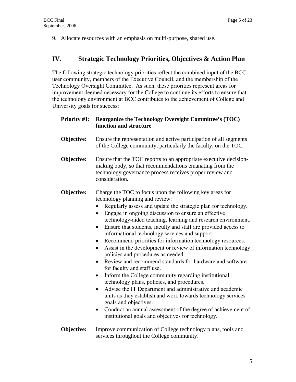9. Allocate resources with an emphasis on multi-purpose, shared use.

## **IV. Strategic Technology Priorities, Objectives & Action Plan**

The following strategic technology priorities reflect the combined input of the BCC user community, members of the Executive Council, and the membership of the Technology Oversight Committee. As such, these priorities represent areas for improvement deemed necessary for the College to continue its efforts to ensure that the technology environment at BCC contributes to the achievement of College and University goals for success:

| <b>Priority #1:</b> | <b>Reorganize the Technology Oversight Committee's (TOC)</b><br>function and structure                                                                                                                                                                                                                                                                                                                                                                                                                                                                                                                                                                                                                                                                                                                                                                                                                                                                                                                                                                                                            |
|---------------------|---------------------------------------------------------------------------------------------------------------------------------------------------------------------------------------------------------------------------------------------------------------------------------------------------------------------------------------------------------------------------------------------------------------------------------------------------------------------------------------------------------------------------------------------------------------------------------------------------------------------------------------------------------------------------------------------------------------------------------------------------------------------------------------------------------------------------------------------------------------------------------------------------------------------------------------------------------------------------------------------------------------------------------------------------------------------------------------------------|
| Objective:          | Ensure the representation and active participation of all segments<br>of the College community, particularly the faculty, on the TOC.                                                                                                                                                                                                                                                                                                                                                                                                                                                                                                                                                                                                                                                                                                                                                                                                                                                                                                                                                             |
| Objective:          | Ensure that the TOC reports to an appropriate executive decision-<br>making body, so that recommendations emanating from the<br>technology governance process receives proper review and<br>consideration.                                                                                                                                                                                                                                                                                                                                                                                                                                                                                                                                                                                                                                                                                                                                                                                                                                                                                        |
| Objective:          | Charge the TOC to focus upon the following key areas for<br>technology planning and review:<br>Regularly assess and update the strategic plan for technology.<br>Engage in ongoing discussion to ensure an effective<br>technology-aided teaching, learning and research environment.<br>Ensure that students, faculty and staff are provided access to<br>informational technology services and support.<br>Recommend priorities for information technology resources.<br>$\bullet$<br>Assist in the development or review of information technology<br>policies and procedures as needed.<br>Review and recommend standards for hardware and software<br>$\bullet$<br>for faculty and staff use.<br>Inform the College community regarding institutional<br>technology plans, policies, and procedures.<br>Advise the IT Department and administrative and academic<br>$\bullet$<br>units as they establish and work towards technology services<br>goals and objectives.<br>Conduct an annual assessment of the degree of achievement of<br>institutional goals and objectives for technology. |
| Objective:          | Improve communication of College technology plans, tools and<br>services throughout the College community.                                                                                                                                                                                                                                                                                                                                                                                                                                                                                                                                                                                                                                                                                                                                                                                                                                                                                                                                                                                        |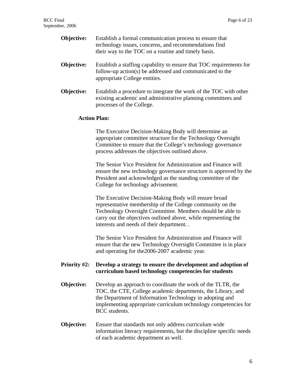| Objective:          | Establish a formal communication process to ensure that<br>technology issues, concerns, and recommendations find<br>their way to the TOC on a routine and timely basis.                                                                  |  |
|---------------------|------------------------------------------------------------------------------------------------------------------------------------------------------------------------------------------------------------------------------------------|--|
| Objective:          | Establish a staffing capability to ensure that TOC requirements for<br>follow-up action(s) be addressed and communicated to the<br>appropriate College entities.                                                                         |  |
| Objective:          | Establish a procedure to integrate the work of the TOC with other<br>existing academic and administrative planning committees and<br>processes of the College.                                                                           |  |
| <b>Action Plan:</b> |                                                                                                                                                                                                                                          |  |
|                     | The Executive Decision-Making Body will determine an<br>appropriate committee structure for the Technology Oversight<br>Committee to ensure that the College's technology governance<br>process addresses the objectives outlined above. |  |
|                     | The Senior Vice President for Administration and Finance will<br>ensure the new technology governance structure is approved by the<br>President and acknowledged as the standing committee of the<br>College for technology advisement.  |  |
|                     | The Executive Decision Making Rody will ensure broad                                                                                                                                                                                     |  |

The Executive Decision-Making Body will ensure broad representative membership of the College community on the Technology Oversight Committee. Members should be able to carry out the objectives outlined above, while representing the interests and needs of their department. .

The Senior Vice President for Administration and Finance will ensure that the new Technology Oversight Committee is in place and operating for the2006-2007 academic year.

## **Priority #2: Develop a strategy to ensure the development and adoption of curriculum based technology competencies for students**

- **Objective:** Develop an approach to coordinate the work of the TLTR, the TOC, the CTE, College academic departments, the Library, and the Department of Information Technology in adopting and implementing appropriate curriculum technology competencies for BCC students.
- **Objective:** Ensure that standards not only address curriculum wide information literacy requirements, but the discipline specific needs of each academic department as well.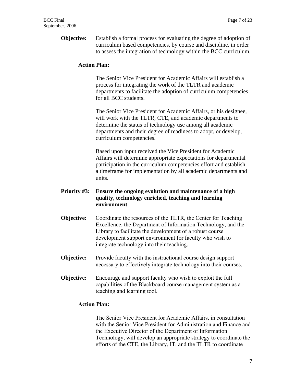**Objective:** Establish a formal process for evaluating the degree of adoption of curriculum based competencies, by course and discipline, in order to assess the integration of technology within the BCC curriculum.

#### **Action Plan:**

 The Senior Vice President for Academic Affairs will establish a process for integrating the work of the TLTR and academic departments to facilitate the adoption of curriculum competencies for all BCC students.

 The Senior Vice President for Academic Affairs, or his designee, will work with the TLTR, CTE, and academic departments to determine the status of technology use among all academic departments and their degree of readiness to adopt, or develop, curriculum competencies.

 Based upon input received the Vice President for Academic Affairs will determine appropriate expectations for departmental participation in the curriculum competencies effort and establish a timeframe for implementation by all academic departments and units.

## **Priority #3: Ensure the ongoing evolution and maintenance of a high quality, technology enriched, teaching and learning environment**

- **Objective:** Coordinate the resources of the TLTR, the Center for Teaching Excellence, the Department of Information Technology, and the Library to facilitate the development of a robust course development support environment for faculty who wish to integrate technology into their teaching.
- **Objective:** Provide faculty with the instructional course design support necessary to effectively integrate technology into their courses.
- **Objective:** Encourage and support faculty who wish to exploit the full capabilities of the Blackboard course management system as a teaching and learning tool.

#### **Action Plan:**

 The Senior Vice President for Academic Affairs, in consultation with the Senior Vice President for Administration and Finance and the Executive Director of the Department of Information Technology, will develop an appropriate strategy to coordinate the efforts of the CTE, the Library, IT, and the TLTR to coordinate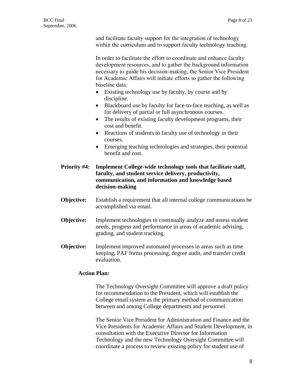and facilitate faculty support for the integration of technology within the curriculum and to support faculty technology teaching.

In order to facilitate the effort to coordinate and enhance faculty development resources, and to gather the background information necessary to guide his decision-making, the Senior Vice President for Academic Affairs will initiate efforts to gather the following baseline data:

- Existing technology use by faculty, by course and by discipline.
- Blackboard use by faculty for face-to-face teaching, as well as for delivery of partial or full asynchronous courses.
- The results of existing faculty development programs, their cost and benefit.
- Reactions of students to faculty use of technology in their courses.
- Emerging teaching technologies and strategies, their potential benefit and cost.
- **Priority #4: Implement College-wide technology tools that facilitate staff, faculty, and student service delivery, productivity, communication, and information and knowledge based decision-making**
- **Objective:** Establish a requirement that all internal college communications be accomplished via email.
- **Objective:** Implement technologies to continually analyze and assess student needs, progress and performance in areas of academic advising, grading, and student tracking.
- **Objective:** Implement improved automated processes in areas such as time keeping, PAF forms processing, degree audit, and transfer credit evaluation.

## **Action Plan:**

The Technology Oversight Committee will approve a draft policy for recommendation to the President, which will establish the College email system as the primary method of communication between and among College departments and personnel.

The Senior Vice President for Administration and Finance and the Vice Presidents for Academic Affairs and Student Development, in consultation with the Executive Director for Information Technology and the new Technology Oversight Committee will coordinate a process to review existing policy for student use of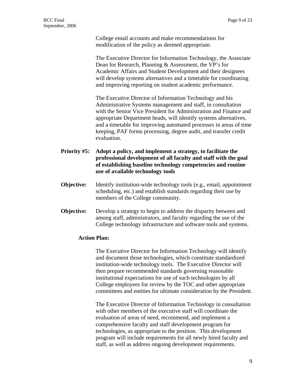College email accounts and make recommendations for modification of the policy as deemed appropriate.

The Executive Director for Information Technology, the Associate Dean for Research, Planning & Assessment, the VP's for Academic Affairs and Student Development and their designees will develop systems alternatives and a timetable for coordinating and improving reporting on student academic performance.

 The Executive Director of Information Technology and his Administrative Systems management and staff, in consultation with the Senior Vice President for Administration and Finance and appropriate Department heads, will identify systems alternatives, and a timetable for improving automated processes in areas of time keeping, PAF forms processing, degree audit, and transfer credit evaluation.

- **Priority #5: Adopt a policy, and implement a strategy, to facilitate the professional development of all faculty and staff with the goal of establishing baseline technology competencies and routine use of available technology tools**
- **Objective:** Identify institution-wide technology tools (e.g., email, appointment scheduling, etc.) and establish standards regarding their use by members of the College community.
- **Objective:** Develop a strategy to begin to address the disparity between and among staff, administrators, and faculty regarding the use of the College technology infrastructure and software tools and systems.

## **Action Plan:**

The Executive Director for Information Technology will identify and document those technologies, which constitute standardized institution-wide technology tools. The Executive Director will then prepare recommended standards governing reasonable institutional expectations for use of such technologies by all College employees for review by the TOC and other appropriate committees and entities for ultimate consideration by the President.

The Executive Director of Information Technology in consultation with other members of the executive staff will coordinate the evaluation of areas of need, recommend, and implement a comprehensive faculty and staff development program for technologies, as appropriate to the position. This development program will include requirements for all newly hired faculty and staff, as well as address ongoing development requirements.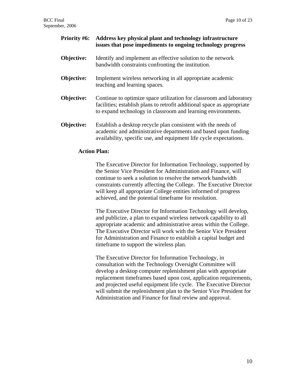| <b>Priority #6:</b> | Address key physical plant and technology infrastructure<br>issues that pose impediments to ongoing technology progress                                                                                        |
|---------------------|----------------------------------------------------------------------------------------------------------------------------------------------------------------------------------------------------------------|
| Objective:          | Identify and implement an effective solution to the network<br>bandwidth constraints confronting the institution.                                                                                              |
| <b>Objective:</b>   | Implement wireless networking in all appropriate academic<br>teaching and learning spaces.                                                                                                                     |
| Objective:          | Continue to optimize space utilization for classroom and laboratory<br>facilities; establish plans to retrofit additional space as appropriate<br>to expand technology in classroom and learning environments. |
| Objective:          | Establish a desktop recycle plan consistent with the needs of<br>academic and administrative departments and based upon funding<br>availability, specific use, and equipment life cycle expectations.          |

### **Action Plan:**

The Executive Director for Information Technology, supported by the Senior Vice President for Administration and Finance, will continue to seek a solution to resolve the network bandwidth constraints currently affecting the College. The Executive Director will keep all appropriate College entities informed of progress achieved, and the potential timeframe for resolution.

The Executive Director for Information Technology will develop, and publicize, a plan to expand wireless network capability to all appropriate academic and administrative areas within the College. The Executive Director will work with the Senior Vice President for Administration and Finance to establish a capital budget and timeframe to support the wireless plan.

The Executive Director for Information Technology, in consultation with the Technology Oversight Committee will develop a desktop computer replenishment plan with appropriate replacement timeframes based upon cost, application requirements, and projected useful equipment life cycle. The Executive Director will submit the replenishment plan to the Senior Vice President for Administration and Finance for final review and approval.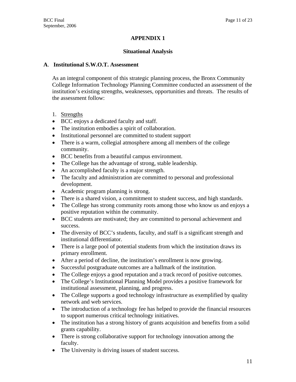## **APPENDIX 1**

## **Situational Analysis**

## **A**. **Institutional S.W.O.T. Assessment**

As an integral component of this strategic planning process, the Bronx Community College Information Technology Planning Committee conducted an assessment of the institution's existing strengths, weaknesses, opportunities and threats. The results of the assessment follow:

- 1. Strengths
- BCC enjoys a dedicated faculty and staff.
- The institution embodies a spirit of collaboration.
- Institutional personnel are committed to student support
- There is a warm, collegial atmosphere among all members of the college community.
- BCC benefits from a beautiful campus environment.
- The College has the advantage of strong, stable leadership.
- An accomplished faculty is a major strength.
- The faculty and administration are committed to personal and professional development.
- Academic program planning is strong.
- There is a shared vision, a commitment to student success, and high standards.
- The College has strong community roots among those who know us and enjoys a positive reputation within the community.
- BCC students are motivated; they are committed to personal achievement and success.
- The diversity of BCC's students, faculty, and staff is a significant strength and institutional differentiator.
- There is a large pool of potential students from which the institution draws its primary enrollment.
- After a period of decline, the institution's enrollment is now growing.
- Successful postgraduate outcomes are a hallmark of the institution.
- The College enjoys a good reputation and a track record of positive outcomes.
- The College's Institutional Planning Model provides a positive framework for institutional assessment, planning, and progress.
- The College supports a good technology infrastructure as exemplified by quality network and web services.
- The introduction of a technology fee has helped to provide the financial resources to support numerous critical technology initiatives.
- The institution has a strong history of grants acquisition and benefits from a solid grants capability.
- There is strong collaborative support for technology innovation among the faculty.
- The University is driving issues of student success.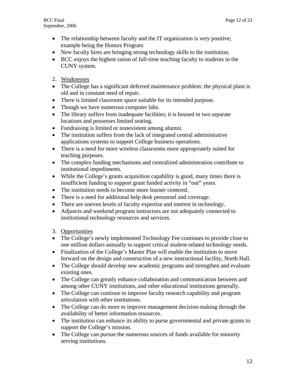- The relationship between faculty and the IT organization is very positive; example being the Honors Program
- New faculty hires are bringing strong technology skills to the institution.
- BCC enjoys the highest ration of full-time teaching faculty to students in the CUNY system.
- 2. Weaknesses
- The College has a significant deferred maintenance problem: the physical plant is old and in constant need of repair.
- There is limited classroom space suitable for its intended purpose.
- Though we have numerous computer labs.
- The library suffers from inadequate facilities; it is housed in two separate locations and possesses limited seating.
- Fundraising is limited or nonexistent among alumni.
- The institution suffers from the lack of integrated central administrative applications systems to support College business operations.
- There is a need for more wireless classrooms more appropriately suited for teaching purposes.
- The complex funding mechanisms and centralized administration contribute to institutional impediments.
- While the College's grants acquisition capability is good, many times there is insufficient funding to support grant funded activity in "out" years.
- The institution needs to become more learner centered.
- There is a need for additional help desk personnel and coverage.
- There are uneven levels of faculty expertise and interest in technology.
- Adjuncts and weekend program instructors are not adequately connected to institutional technology resources and services.
- 3. Opportunities
- The College's newly implemented Technology Fee continues to provide close to one million dollars annually to support critical student-related technology needs.
- Finalization of the College's Master Plan will enable the institution to move forward on the design and construction of a new instructional facility, North Hall.
- The College should develop new academic programs and strengthen and evaluate existing ones.
- The College can greatly enhance collaboration and communication between and among other CUNY institutions, and other educational institutions generally.
- The College can continue to improve faculty research capability and program articulation with other institutions.
- The College can do more to improve management decision-making through the availability of better information resources.
- The institution can enhance its ability to purse governmental and private grants to support the College's mission.
- The College can pursue the numerous sources of funds available for minority serving institutions.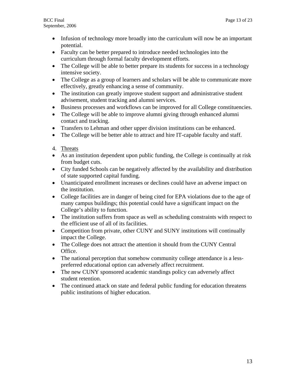- Infusion of technology more broadly into the curriculum will now be an important potential.
- Faculty can be better prepared to introduce needed technologies into the curriculum through formal faculty development efforts.
- The College will be able to better prepare its students for success in a technology intensive society.
- The College as a group of learners and scholars will be able to communicate more effectively, greatly enhancing a sense of community.
- The institution can greatly improve student support and administrative student advisement, student tracking and alumni services.
- Business processes and workflows can be improved for all College constituencies.
- The College will be able to improve alumni giving through enhanced alumni contact and tracking.
- Transfers to Lehman and other upper division institutions can be enhanced.
- The College will be better able to attract and hire IT-capable faculty and staff.
- 4. Threats
- As an institution dependent upon public funding, the College is continually at risk from budget cuts.
- City funded Schools can be negatively affected by the availability and distribution of state supported capital funding.
- Unanticipated enrollment increases or declines could have an adverse impact on the institution.
- College facilities are in danger of being cited for EPA violations due to the age of many campus buildings; this potential could have a significant impact on the College's ability to function.
- The institution suffers from space as well as scheduling constraints with respect to the efficient use of all of its facilities.
- Competition from private, other CUNY and SUNY institutions will continually impact the College.
- The College does not attract the attention it should from the CUNY Central Office.
- The national perception that somehow community college attendance is a lesspreferred educational option can adversely affect recruitment.
- The new CUNY sponsored academic standings policy can adversely affect student retention.
- The continued attack on state and federal public funding for education threatens public institutions of higher education.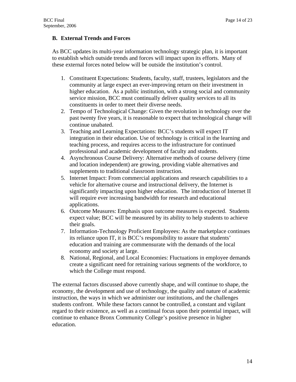## **B. External Trends and Forces**

As BCC updates its multi-year information technology strategic plan, it is important to establish which outside trends and forces will impact upon its efforts. Many of these external forces noted below will be outside the institution's control.

- 1. Constituent Expectations: Students, faculty, staff, trustees, legislators and the community at large expect an ever-improving return on their investment in higher education. As a public institution, with a strong social and community service mission, BCC must continually deliver quality services to all its constituents in order to meet their diverse needs.
- 2. Tempo of Technological Change: Given the revolution in technology over the past twenty five years, it is reasonable to expect that technological change will continue unabated.
- 3. Teaching and Learning Expectations: BCC's students will expect IT integration in their education. Use of technology is critical in the learning and teaching process, and requires access to the infrastructure for continued professional and academic development of faculty and students.
- 4. Asynchronous Course Delivery: Alternative methods of course delivery (time and location independent) are growing, providing viable alternatives and supplements to traditional classroom instruction.
- 5. Internet Impact: From commercial applications and research capabilities to a vehicle for alternative course and instructional delivery, the Internet is significantly impacting upon higher education. The introduction of Internet II will require ever increasing bandwidth for research and educational applications.
- 6. Outcome Measures: Emphasis upon outcome measures is expected. Students expect value; BCC will be measured by its ability to help students to achieve their goals.
- 7. Information-Technology Proficient Employees: As the marketplace continues its reliance upon IT, it is BCC's responsibility to assure that students' education and training are commensurate with the demands of the local economy and society at large.
- 8. National, Regional, and Local Economies: Fluctuations in employee demands create a significant need for retraining various segments of the workforce, to which the College must respond.

The external factors discussed above currently shape, and will continue to shape, the economy, the development and use of technology, the quality and nature of academic instruction, the ways in which we administer our institutions, and the challenges students confront. While these factors cannot be controlled, a constant and vigilant regard to their existence, as well as a continual focus upon their potential impact, will continue to enhance Bronx Community College's positive presence in higher education.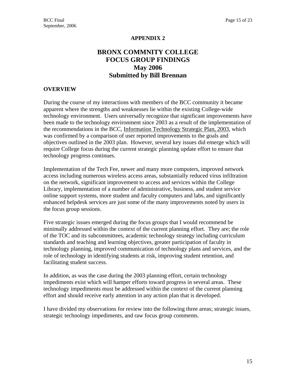## **APPENDIX 2**

## **BRONX COMMNITY COLLEGE FOCUS GROUP FINDINGS May 2006 Submitted by Bill Brennan**

## **OVERVIEW**

During the course of my interactions with members of the BCC community it became apparent where the strengths and weaknesses lie within the existing College-wide technology environment. Users universally recognize that significant improvements have been made to the technology environment since 2003 as a result of the implementation of the recommendations in the BCC, Information Technology Strategic Plan, 2003, which was confirmed by a comparison of user reported improvements to the goals and objectives outlined in the 2003 plan. However, several key issues did emerge which will require College focus during the current strategic planning update effort to ensure that technology progress continues.

Implementation of the Tech Fee, newer and many more computers, improved network access including numerous wireless access areas, substantially reduced virus infiltration on the network, significant improvement to access and services within the College Library, implementation of a number of administrative, business, and student service online support systems, more student and faculty computers and labs, and significantly enhanced helpdesk services are just some of the many improvements noted by users in the focus group sessions.

Five strategic issues emerged during the focus groups that I would recommend be minimally addressed within the context of the current planning effort. They are; the role of the TOC and its subcommittees, academic technology strategy including curriculum standards and teaching and learning objectives, greater participation of faculty in technology planning, improved communication of technology plans and services, and the role of technology in identifying students at risk, improving student retention, and facilitating student success.

In addition, as was the case during the 2003 planning effort, certain technology impediments exist which will hamper efforts toward progress in several areas. These technology impediments must be addressed within the context of the current planning effort and should receive early attention in any action plan that is developed.

I have divided my observations for review into the following three areas; strategic issues, strategic technology impediments, and raw focus group comments.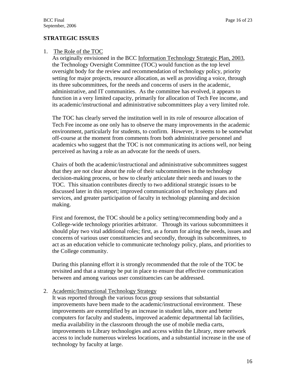## **STRATEGIC ISSUES**

## 1. The Role of the TOC

 As originally envisioned in the BCC Information Technology Strategic Plan, 2003, the Technology Oversight Committee (TOC) would function as the top level oversight body for the review and recommendation of technology policy, priority setting for major projects, resource allocation, as well as providing a voice, through its three subcommittees, for the needs and concerns of users in the academic, administrative, and IT communities. As the committee has evolved, it appears to function in a very limited capacity, primarily for allocation of Tech Fee income, and its academic/instructional and administrative subcommittees play a very limited role.

The TOC has clearly served the institution well in its role of resource allocation of Tech Fee income as one only has to observe the many improvements in the academic environment, particularly for students, to confirm. However, it seems to be somewhat off-course at the moment from comments from both administrative personnel and academics who suggest that the TOC is not communicating its actions well, nor being perceived as having a role as an advocate for the needs of users.

Chairs of both the academic/instructional and administrative subcommittees suggest that they are not clear about the role of their subcommittees in the technology decision-making process, or how to clearly articulate their needs and issues to the TOC. This situation contributes directly to two additional strategic issues to be discussed later in this report; improved communication of technology plans and services, and greater participation of faculty in technology planning and decision making.

First and foremost, the TOC should be a policy setting/recommending body and a College-wide technology priorities arbitrator. Through its various subcommittees it should play two vital additional roles; first, as a forum for airing the needs, issues and concerns of various user constituencies and secondly, through its subcommittees, to act as an education vehicle to communicate technology policy, plans, and priorities to the College community.

During this planning effort it is strongly recommended that the role of the TOC be revisited and that a strategy be put in place to ensure that effective communication between and among various user constituencies can be addressed.

### 2. Academic/Instructional Technology Strategy

It was reported through the various focus group sessions that substantial improvements have been made to the academic/instructional environment. These improvements are exemplified by an increase in student labs, more and better computers for faculty and students, improved academic departmental lab facilities, media availability in the classroom through the use of mobile media carts, improvements to Library technologies and access within the Library, more network access to include numerous wireless locations, and a substantial increase in the use of technology by faculty at large.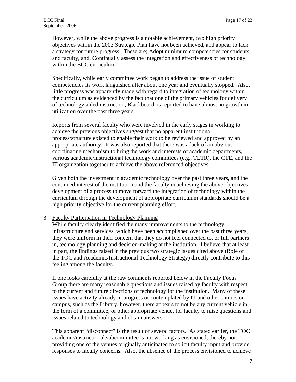However, while the above progress is a notable achievement, two high priority objectives within the 2003 Strategic Plan have not been achieved, and appear to lack a strategy for future progress. These are; Adopt minimum competencies for students and faculty, and, Continually assess the integration and effectiveness of technology within the BCC curriculum.

Specifically, while early committee work began to address the issue of student competencies its work languished after about one year and eventually stopped. Also, little progress was apparently made with regard to integration of technology within the curriculum as evidenced by the fact that one of the primary vehicles for delivery of technology aided instruction, Blackboard, is reported to have almost no growth in utilization over the past three years.

Reports from several faculty who were involved in the early stages in working to achieve the previous objectives suggest that no apparent institutional process/structure existed to enable their work to be reviewed and approved by an appropriate authority. It was also reported that there was a lack of an obvious coordinating mechanism to bring the work and interests of academic departments, various academic/instructional technology committees (e.g., TLTR), the CTE, and the IT organization together to achieve the above referenced objectives.

Given both the investment in academic technology over the past three years, and the continued interest of the institution and the faculty in achieving the above objectives, development of a process to move forward the integration of technology within the curriculum through the development of appropriate curriculum standards should be a high priority objective for the current planning effort.

#### 3. Faculty Participation in Technology Planning

While faculty clearly identified the many improvements to the technology infrastructure and services, which have been accomplished over the past three years, they were uniform in their concern that they do not feel connected to, or full partners in, technology planning and decision-making at the institution. I believe that at least in part, the findings raised in the previous two strategic issues cited above (Role of the TOC and Academic/Instructional Technology Strategy) directly contribute to this feeling among the faculty.

If one looks carefully at the raw comments reported below in the Faculty Focus Group there are many reasonable questions and issues raised by faculty with respect to the current and future directions of technology for the institution. Many of these issues have activity already in progress or contemplated by IT and other entities on campus, such as the Library, however, there appears to not be any current vehicle in the form of a committee, or other appropriate venue, for faculty to raise questions and issues related to technology and obtain answers.

This apparent "disconnect" is the result of several factors. As stated earlier, the TOC academic/instructional subcommittee is not working as envisioned, thereby not providing one of the venues originally anticipated to solicit faculty input and provide responses to faculty concerns. Also, the absence of the process envisioned to achieve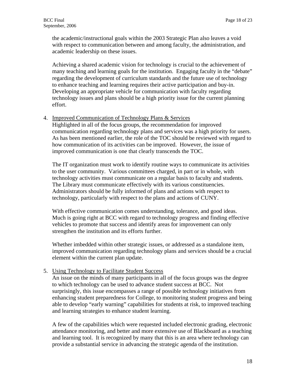the academic/instructional goals within the 2003 Strategic Plan also leaves a void with respect to communication between and among faculty, the administration, and academic leadership on these issues.

Achieving a shared academic vision for technology is crucial to the achievement of many teaching and learning goals for the institution. Engaging faculty in the "debate" regarding the development of curriculum standards and the future use of technology to enhance teaching and learning requires their active participation and buy-in. Developing an appropriate vehicle for communication with faculty regarding technology issues and plans should be a high priority issue for the current planning effort.

## 4. Improved Communication of Technology Plans & Services

Highlighted in all of the focus groups, the recommendation for improved communication regarding technology plans and services was a high priority for users. As has been mentioned earlier, the role of the TOC should be reviewed with regard to how communication of its activities can be improved. However, the issue of improved communication is one that clearly transcends the TOC.

The IT organization must work to identify routine ways to communicate its activities to the user community. Various committees charged, in part or in whole, with technology activities must communicate on a regular basis to faculty and students. The Library must communicate effectively with its various constituencies. Administrators should be fully informed of plans and actions with respect to technology, particularly with respect to the plans and actions of CUNY.

With effective communication comes understanding, tolerance, and good ideas. Much is going right at BCC with regard to technology progress and finding effective vehicles to promote that success and identify areas for improvement can only strengthen the institution and its efforts further.

Whether imbedded within other strategic issues, or addressed as a standalone item, improved communication regarding technology plans and services should be a crucial element within the current plan update.

## 5. Using Technology to Facilitate Student Success

 An issue on the minds of many participants in all of the focus groups was the degree to which technology can be used to advance student success at BCC. Not surprisingly, this issue encompasses a range of possible technology initiatives from enhancing student preparedness for College, to monitoring student progress and being able to develop "early warning" capabilities for students at risk, to improved teaching and learning strategies to enhance student learning.

 A few of the capabilities which were requested included electronic grading, electronic attendance monitoring, and better and more extensive use of Blackboard as a teaching and learning tool. It is recognized by many that this is an area where technology can provide a substantial service in advancing the strategic agenda of the institution.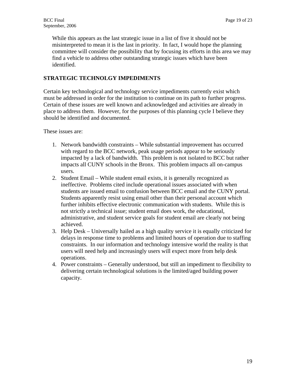While this appears as the last strategic issue in a list of five it should not be misinterpreted to mean it is the last in priority. In fact, I would hope the planning committee will consider the possibility that by focusing its efforts in this area we may find a vehicle to address other outstanding strategic issues which have been identified.

## **STRATEGIC TECHNOLGY IMPEDIMENTS**

Certain key technological and technology service impediments currently exist which must be addressed in order for the institution to continue on its path to further progress. Certain of these issues are well known and acknowledged and activities are already in place to address them. However, for the purposes of this planning cycle I believe they should be identified and documented.

These issues are:

- 1. Network bandwidth constraints While substantial improvement has occurred with regard to the BCC network, peak usage periods appear to be seriously impacted by a lack of bandwidth. This problem is not isolated to BCC but rather impacts all CUNY schools in the Bronx. This problem impacts all on-campus users.
- 2. Student Email While student email exists, it is generally recognized as ineffective. Problems cited include operational issues associated with when students are issued email to confusion between BCC email and the CUNY portal. Students apparently resist using email other than their personal account which further inhibits effective electronic communication with students. While this is not strictly a technical issue; student email does work, the educational, administrative, and student service goals for student email are clearly not being achieved.
- 3. Help Desk Universally hailed as a high quality service it is equally criticized for delays in response time to problems and limited hours of operation due to staffing constraints. In our information and technology intensive world the reality is that users will need help and increasingly users will expect more from help desk operations.
- 4. Power constraints Generally understood, but still an impediment to flexibility to delivering certain technological solutions is the limited/aged building power capacity.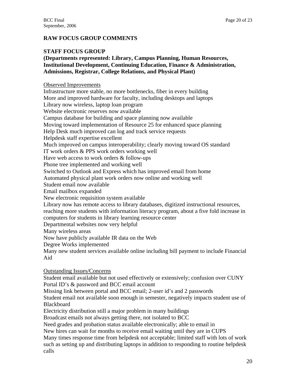## **RAW FOCUS GROUP COMMENTS**

## **STAFF FOCUS GROUP**

## **(Departments represented: Library, Campus Planning, Human Resources, Institutional Development, Continuing Education, Finance & Administration, Admissions, Registrar, College Relations, and Physical Plant)**

Observed Improvements

Infrastructure more stable, no more bottlenecks, fiber in every building More and improved hardware for faculty, including desktops and laptops Library now wireless, laptop loan program Website electronic reserves now available Campus database for building and space planning now available Moving toward implementation of Resource 25 for enhanced space planning Help Desk much improved can log and track service requests Helpdesk staff expertise excellent Much improved on campus interoperability; clearly moving toward OS standard IT work orders & PPS work orders working well Have web access to work orders & follow-ups Phone tree implemented and working well Switched to Outlook and Express which has improved email from home Automated physical plant work orders now online and working well Student email now available Email mailbox expanded New electronic requisition system available Library now has remote access to library databases, digitized instructional resources, reaching more students with information literacy program, about a five fold increase in computers for students in library learning resource center Departmental websites now very helpful Many wireless areas Now have publicly available IR data on the Web Degree Works implemented Many new student services available online including bill payment to include Financial Aid Outstanding Issues/Concerns Student email available but not used effectively or extensively; confusion over CUNY Portal ID's & password and BCC email account Missing link between portal and BCC email; 2-user id's and 2 passwords Student email not available soon enough in semester, negatively impacts student use of Blackboard Electricity distribution still a major problem in many buildings

Broadcast emails not always getting there, not isolated to BCC

Need grades and probation status available electronically; able to email in

New hires can wait for months to receive email waiting until they are in CUPS

Many times response time from helpdesk not acceptable; limited staff with lots of work such as setting up and distributing laptops in addition to responding to routine helpdesk calls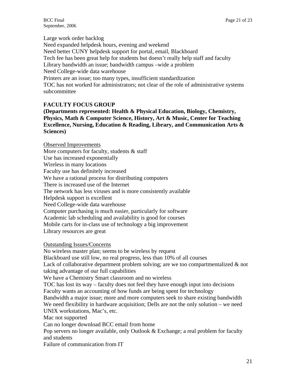Large work order backlog Need expanded helpdesk hours, evening and weekend Need better CUNY helpdesk support for portal, email, Blackboard Tech fee has been great help for students but doesn't really help staff and faculty Library bandwidth an issue; bandwidth campus –wide a problem Need College-wide data warehouse Printers are an issue; too many types, insufficient standardization TOC has not worked for administrators; not clear of the role of administrative systems subcommittee

## **FACULTY FOCUS GROUP**

**(Departments represented: Health & Physical Education, Biology, Chemistry, Physics, Math & Computer Science, History, Art & Music, Center for Teaching Excellence, Nursing, Education & Reading, Library, and Communication Arts & Sciences)** 

Observed Improvements More computers for faculty, students & staff Use has increased exponentially Wireless in many locations Faculty use has definitely increased We have a rational process for distributing computers There is increased use of the Internet The network has less viruses and is more consistently available Helpdesk support is excellent Need College-wide data warehouse Computer purchasing is much easier, particularly for software Academic lab scheduling and availability is good for courses Mobile carts for in-class use of technology a big improvement Library resources are great

### Outstanding Issues/Concerns

No wireless master plan; seems to be wireless by request Blackboard use still low, no real progress, less than 10% of all courses Lack of collaborative department problem solving; are we too compartmentalized & not taking advantage of our full capabilities We have a Chemistry Smart classroom and no wireless TOC has lost its way – faculty does not feel they have enough input into decisions Faculty wants an accounting of how funds are being spent for technology Bandwidth a major issue; more and more computers seek to share existing bandwidth We need flexibility in hardware acquisition; Dells are not the only solution – we need UNIX workstations, Mac's, etc. Mac not supported Can no longer download BCC email from home Pop servers no longer available, only Outlook & Exchange; a real problem for faculty and students Failure of communication from IT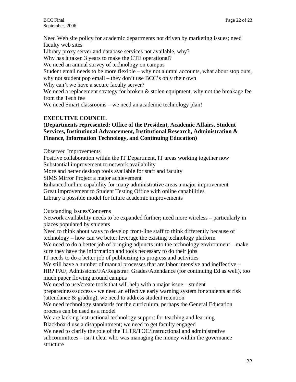Need Web site policy for academic departments not driven by marketing issues; need faculty web sites

Library proxy server and database services not available, why?

Why has it taken 3 years to make the CTE operational?

We need an annual survey of technology on campus

Student email needs to be more flexible – why not alumni accounts, what about stop outs, why not student pop email – they don't use BCC's only their own

Why can't we have a secure faculty server?

We need a replacement strategy for broken  $\&$  stolen equipment, why not the breakage fee from the Tech fee

We need Smart classrooms – we need an academic technology plan!

## **EXECUTIVE COUNCIL**

## **(Departments represented: Office of the President, Academic Affairs, Student Services, Institutional Advancement, Institutional Research, Administration & Finance, Information Technology, and Continuing Education)**

## Observed Improvements

Positive collaboration within the IT Department, IT areas working together now Substantial improvement to network availability

More and better desktop tools available for staff and faculty

SIMS Mirror Project a major achievement

Enhanced online capability for many administrative areas a major improvement

Great improvement to Student Testing Office with online capabilities

Library a possible model for future academic improvements

## Outstanding Issues/Concerns

Network availability needs to be expanded further; need more wireless – particularly in places populated by students

Need to think about ways to develop front-line staff to think differently because of technology – how can we better leverage the existing technology platform

We need to do a better job of bringing adjuncts into the technology environment – make sure they have the information and tools necessary to do their jobs

IT needs to do a better job of publicizing its progress and activities

We still have a number of manual processes that are labor intensive and ineffective – HR? PAF, Admissions/FA/Registrar, Grades/Attendance (for continuing Ed as well), too much paper flowing around campus

We need to use/create tools that will help with a major issue – student

preparedness/success - we need an effective early warning system for students at risk (attendance & grading), we need to address student retention

We need technology standards for the curriculum, perhaps the General Education process can be used as a model

We are lacking instructional technology support for teaching and learning

Blackboard use a disappointment; we need to get faculty engaged

We need to clarify the role of the TLTR/TOC/Instructional and administrative subcommittees – isn't clear who was managing the money within the governance structure